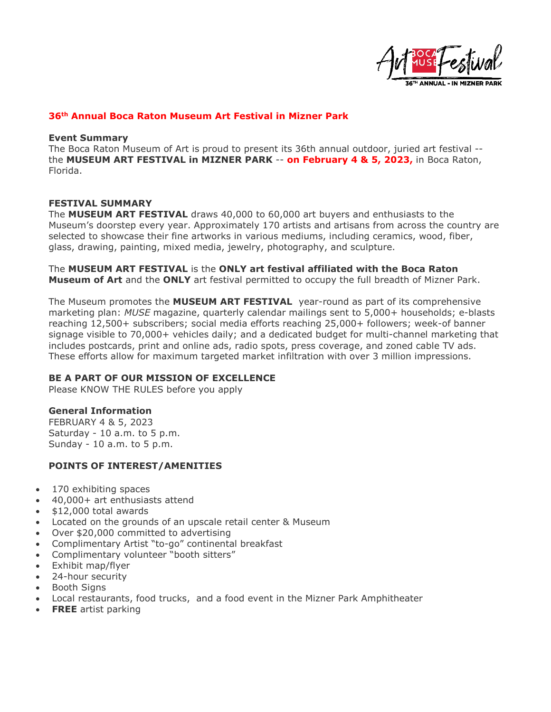

# **36th Annual Boca Raton Museum Art Festival in Mizner Park**

#### **Event Summary**

The Boca Raton Museum of Art is proud to present its 36th annual outdoor, juried art festival - the **MUSEUM ART FESTIVAL in MIZNER PARK** -- **on February 4 & 5, 2023,** in Boca Raton, Florida.

### **FESTIVAL SUMMARY**

The **MUSEUM ART FESTIVAL** draws 40,000 to 60,000 art buyers and enthusiasts to the Museum's doorstep every year. Approximately 170 artists and artisans from across the country are selected to showcase their fine artworks in various mediums, including ceramics, wood, fiber, glass, drawing, painting, mixed media, jewelry, photography, and sculpture.

The **MUSEUM ART FESTIVAL** is the **ONLY art festival affiliated with the Boca Raton Museum of Art** and the **ONLY** art festival permitted to occupy the full breadth of Mizner Park.

The Museum promotes the **MUSEUM ART FESTIVAL** year-round as part of its comprehensive marketing plan: *MUSE* magazine, quarterly calendar mailings sent to 5,000+ households; e-blasts reaching 12,500+ subscribers; social media efforts reaching 25,000+ followers; week-of banner signage visible to 70,000+ vehicles daily; and a dedicated budget for multi-channel marketing that includes postcards, print and online ads, radio spots, press coverage, and zoned cable TV ads. These efforts allow for maximum targeted market infiltration with over 3 million impressions.

# **BE A PART OF OUR MISSION OF EXCELLENCE**

Please KNOW THE RULES before you apply

# **General Information**

FEBRUARY 4 & 5, 2023 Saturday - 10 a.m. to 5 p.m. Sunday - 10 a.m. to 5 p.m.

# **POINTS OF INTEREST/AMENITIES**

- 170 exhibiting spaces
- 40,000+ art enthusiasts attend
- \$12,000 total awards
- Located on the grounds of an upscale retail center & Museum
- Over \$20,000 committed to advertising
- Complimentary Artist "to-go" continental breakfast
- Complimentary volunteer "booth sitters"
- Exhibit map/flyer
- 24-hour security
- Booth Signs
- Local restaurants, food trucks, and a food event in the Mizner Park Amphitheater
- **FREE** artist parking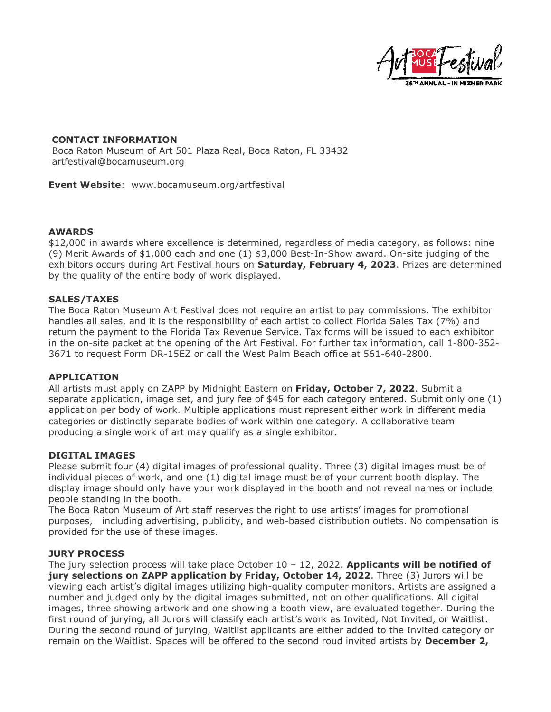

# **CONTACT INFORMATION**

Boca Raton Museum of Art 501 Plaza Real, Boca Raton, FL 33432 artfestival@bocamuseum.org

**Event Website**: www.bocamuseum.org/artfestival

# **AWARDS**

\$12,000 in awards where excellence is determined, regardless of media category, as follows: nine (9) Merit Awards of \$1,000 each and one (1) \$3,000 Best-In-Show award. On-site judging of the exhibitors occurs during Art Festival hours on **Saturday, February 4, 2023**. Prizes are determined by the quality of the entire body of work displayed.

# **SALES/TAXES**

The Boca Raton Museum Art Festival does not require an artist to pay commissions. The exhibitor handles all sales, and it is the responsibility of each artist to collect Florida Sales Tax (7%) and return the payment to the Florida Tax Revenue Service. Tax forms will be issued to each exhibitor in the on-site packet at the opening of the Art Festival. For further tax information, call 1-800-352- 3671 to request Form DR-15EZ or call the West Palm Beach office at 561-640-2800.

#### **APPLICATION**

All artists must apply on ZAPP by Midnight Eastern on **Friday, October 7, 2022**. Submit a separate application, image set, and jury fee of \$45 for each category entered. Submit only one (1) application per body of work. Multiple applications must represent either work in different media categories or distinctly separate bodies of work within one category. A collaborative team producing a single work of art may qualify as a single exhibitor.

#### **DIGITAL IMAGES**

Please submit four (4) digital images of professional quality. Three (3) digital images must be of individual pieces of work, and one (1) digital image must be of your current booth display. The display image should only have your work displayed in the booth and not reveal names or include people standing in the booth.

The Boca Raton Museum of Art staff reserves the right to use artists' images for promotional purposes, including advertising, publicity, and web-based distribution outlets. No compensation is provided for the use of these images.

# **JURY PROCESS**

The jury selection process will take place October 10 – 12, 2022. **Applicants will be notified of jury selections on ZAPP application by Friday, October 14, 2022**. Three (3) Jurors will be viewing each artist's digital images utilizing high-quality computer monitors. Artists are assigned a number and judged only by the digital images submitted, not on other qualifications. All digital images, three showing artwork and one showing a booth view, are evaluated together. During the first round of jurying, all Jurors will classify each artist's work as Invited, Not Invited, or Waitlist. During the second round of jurying, Waitlist applicants are either added to the Invited category or remain on the Waitlist. Spaces will be offered to the second roud invited artists by **December 2,**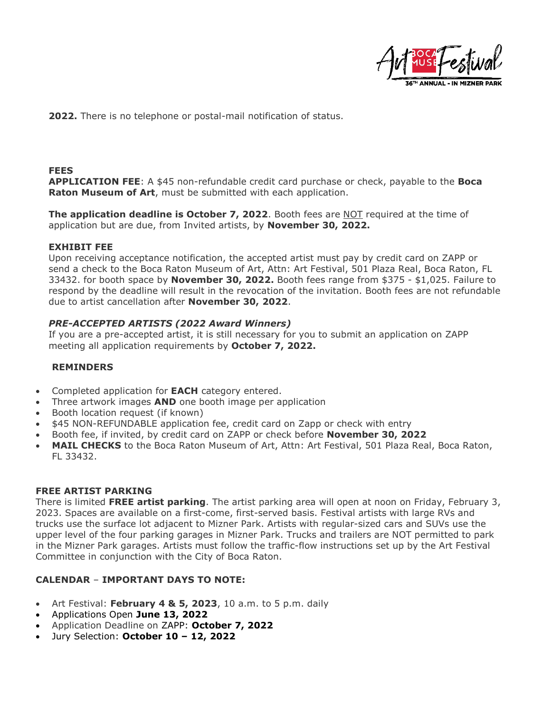

**2022.** There is no telephone or postal-mail notification of status.

## **FEES**

**APPLICATION FEE**: A \$45 non-refundable credit card purchase or check, payable to the **Boca Raton Museum of Art**, must be submitted with each application.

**The application deadline is October 7, 2022**. Booth fees are NOT required at the time of application but are due, from Invited artists, by **November 30, 2022.**

### **EXHIBIT FEE**

Upon receiving acceptance notification, the accepted artist must pay by credit card on ZAPP or send a check to the Boca Raton Museum of Art, Attn: Art Festival, 501 Plaza Real, Boca Raton, FL 33432. for booth space by **November 30, 2022.** Booth fees range from \$375 - \$1,025. Failure to respond by the deadline will result in the revocation of the invitation. Booth fees are not refundable due to artist cancellation after **November 30, 2022**.

# *PRE-ACCEPTED ARTISTS (2022 Award Winners)*

If you are a pre-accepted artist, it is still necessary for you to submit an application on ZAPP meeting all application requirements by **October 7, 2022.**

#### **REMINDERS**

- Completed application for **EACH** category entered.
- Three artwork images **AND** one booth image per application
- Booth location request (if known)
- \$45 NON-REFUNDABLE application fee, credit card on Zapp or check with entry
- Booth fee, if invited, by credit card on ZAPP or check before **November 30, 2022**
- **MAIL CHECKS** to the Boca Raton Museum of Art, Attn: Art Festival, 501 Plaza Real, Boca Raton, FL 33432.

#### **FREE ARTIST PARKING**

There is limited **FREE artist parking**. The artist parking area will open at noon on Friday, February 3, 2023. Spaces are available on a first-come, first-served basis. Festival artists with large RVs and trucks use the surface lot adjacent to Mizner Park. Artists with regular-sized cars and SUVs use the upper level of the four parking garages in Mizner Park. Trucks and trailers are NOT permitted to park in the Mizner Park garages. Artists must follow the traffic-flow instructions set up by the Art Festival Committee in conjunction with the City of Boca Raton.

# **CALENDAR** – **IMPORTANT DAYS TO NOTE:**

- Art Festival: **February 4 & 5, 2023**, 10 a.m. to 5 p.m. daily
- Applications Open **June 13, 2022**
- Application Deadline on ZAPP: **October 7, 2022**
- Jury Selection: **October 10 – 12, 2022**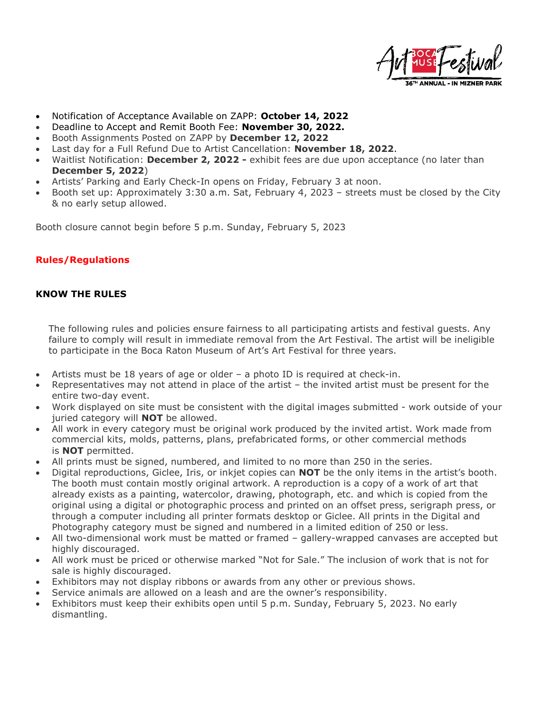

- Notification of Acceptance Available on ZAPP: **October 14, 2022**
- Deadline to Accept and Remit Booth Fee: **November 30, 2022.**
- Booth Assignments Posted on ZAPP by **December 12, 2022**
- Last day for a Full Refund Due to Artist Cancellation: **November 18, 2022**.
- Waitlist Notification: **December 2, 2022 -** exhibit fees are due upon acceptance (no later than **December 5, 2022**)
- Artists' Parking and Early Check-In opens on Friday, February 3 at noon.
- Booth set up: Approximately 3:30 a.m. Sat, February 4, 2023 streets must be closed by the City & no early setup allowed.

Booth closure cannot begin before 5 p.m. Sunday, February 5, 2023

# **Rules/Regulations**

# **KNOW THE RULES**

The following rules and policies ensure fairness to all participating artists and festival guests. Any failure to comply will result in immediate removal from the Art Festival. The artist will be ineligible to participate in the Boca Raton Museum of Art's Art Festival for three years.

- Artists must be 18 years of age or older a photo ID is required at check-in.
- Representatives may not attend in place of the artist the invited artist must be present for the entire two-day event.
- Work displayed on site must be consistent with the digital images submitted work outside of your juried category will **NOT** be allowed.
- All work in every category must be original work produced by the invited artist. Work made from commercial kits, molds, patterns, plans, prefabricated forms, or other commercial methods is **NOT** permitted.
- All prints must be signed, numbered, and limited to no more than 250 in the series.
- Digital reproductions, Giclee, Iris, or inkjet copies can **NOT** be the only items in the artist's booth. The booth must contain mostly original artwork. A reproduction is a copy of a work of art that already exists as a painting, watercolor, drawing, photograph, etc. and which is copied from the original using a digital or photographic process and printed on an offset press, serigraph press, or through a computer including all printer formats desktop or Giclee. All prints in the Digital and Photography category must be signed and numbered in a limited edition of 250 or less.
- All two-dimensional work must be matted or framed gallery-wrapped canvases are accepted but highly discouraged.
- All work must be priced or otherwise marked "Not for Sale." The inclusion of work that is not for sale is highly discouraged.
- Exhibitors may not display ribbons or awards from any other or previous shows.
- Service animals are allowed on a leash and are the owner's responsibility.
- Exhibitors must keep their exhibits open until 5 p.m. Sunday, February 5, 2023. No early dismantling.